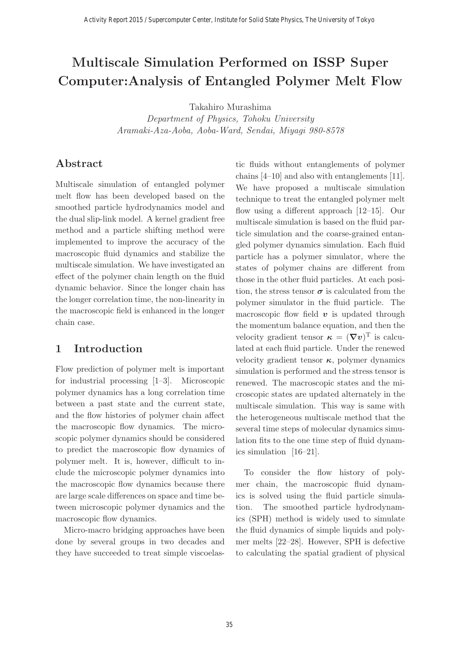# **Multiscale Simulation Performed on ISSP Super Computer:Analysis of Entangled Polymer Melt Flow**

Takahiro Murashima

Department of Physics, Tohoku University Aramaki-Aza-Aoba, Aoba-Ward, Sendai, Miyagi 980-8578

# **Abstract**

Multiscale simulation of entangled polymer melt flow has been developed based on the smoothed particle hydrodynamics model and the dual slip-link model. A kernel gradient free method and a particle shifting method were implemented to improve the accuracy of the macroscopic fluid dynamics and stabilize the multiscale simulation. We have investigated an effect of the polymer chain length on the fluid dynamic behavior. Since the longer chain has the longer correlation time, the non-linearity in the macroscopic field is enhanced in the longer chain case.

# **1 Introduction**

Flow prediction of polymer melt is important for industrial processing [1–3]. Microscopic polymer dynamics has a long correlation time between a past state and the current state, and the flow histories of polymer chain affect the macroscopic flow dynamics. The microscopic polymer dynamics should be considered to predict the macroscopic flow dynamics of polymer melt. It is, however, difficult to include the microscopic polymer dynamics into the macroscopic flow dynamics because there are large scale differences on space and time between microscopic polymer dynamics and the macroscopic flow dynamics.

Micro-macro bridging approaches have been done by several groups in two decades and they have succeeded to treat simple viscoelastic fluids without entanglements of polymer chains [4–10] and also with entanglements [11]. We have proposed a multiscale simulation technique to treat the entangled polymer melt flow using a different approach [12–15]. Our multiscale simulation is based on the fluid particle simulation and the coarse-grained entangled polymer dynamics simulation. Each fluid particle has a polymer simulator, where the states of polymer chains are different from those in the other fluid particles. At each position, the stress tensor  $\sigma$  is calculated from the polymer simulator in the fluid particle. The macroscopic flow field  $v$  is updated through the momentum balance equation, and then the velocity gradient tensor  $\boldsymbol{\kappa} = (\boldsymbol{\nabla} \boldsymbol{v})^{\mathrm{T}}$  is calculated at each fluid particle. Under the renewed velocity gradient tensor *κ*, polymer dynamics simulation is performed and the stress tensor is renewed. The macroscopic states and the microscopic states are updated alternately in the multiscale simulation. This way is same with the heterogeneous multiscale method that the several time steps of molecular dynamics simulation fits to the one time step of fluid dynamics simulation [16–21].

To consider the flow history of polymer chain, the macroscopic fluid dynamics is solved using the fluid particle simulation. The smoothed particle hydrodynamics (SPH) method is widely used to simulate the fluid dynamics of simple liquids and polymer melts [22–28]. However, SPH is defective to calculating the spatial gradient of physical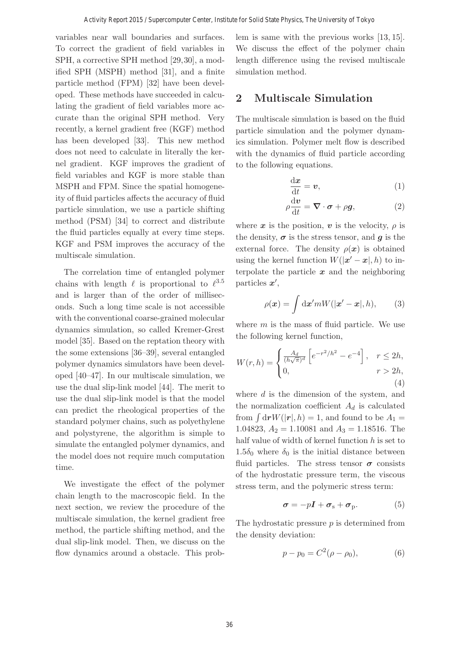variables near wall boundaries and surfaces. To correct the gradient of field variables in SPH, a corrective SPH method [29,30], a modified SPH (MSPH) method [31], and a finite particle method (FPM) [32] have been developed. These methods have succeeded in calculating the gradient of field variables more accurate than the original SPH method. Very recently, a kernel gradient free (KGF) method has been developed [33]. This new method does not need to calculate in literally the kernel gradient. KGF improves the gradient of field variables and KGF is more stable than MSPH and FPM. Since the spatial homogeneity of fluid particles affects the accuracy of fluid particle simulation, we use a particle shifting method (PSM) [34] to correct and distribute the fluid particles equally at every time steps. KGF and PSM improves the accuracy of the multiscale simulation.

The correlation time of entangled polymer chains with length  $\ell$  is proportional to  $\ell^{3.5}$ and is larger than of the order of milliseconds. Such a long time scale is not accessible with the conventional coarse-grained molecular dynamics simulation, so called Kremer-Grest model [35]. Based on the reptation theory with the some extensions [36–39], several entangled polymer dynamics simulators have been developed [40–47]. In our multiscale simulation, we use the dual slip-link model [44]. The merit to use the dual slip-link model is that the model can predict the rheological properties of the standard polymer chains, such as polyethylene and polystyrene, the algorithm is simple to simulate the entangled polymer dynamics, and the model does not require much computation time.

We investigate the effect of the polymer chain length to the macroscopic field. In the next section, we review the procedure of the multiscale simulation, the kernel gradient free method, the particle shifting method, and the dual slip-link model. Then, we discuss on the flow dynamics around a obstacle. This problem is same with the previous works [13, 15]. We discuss the effect of the polymer chain length difference using the revised multiscale simulation method.

# **2 Multiscale Simulation**

The multiscale simulation is based on the fluid particle simulation and the polymer dynamics simulation. Polymer melt flow is described with the dynamics of fluid particle according to the following equations.

$$
\frac{\mathrm{d}x}{\mathrm{d}t} = \boldsymbol{v},\tag{1}
$$

$$
\rho \frac{\mathrm{d} \boldsymbol{v}}{\mathrm{d} t} = \boldsymbol{\nabla} \cdot \boldsymbol{\sigma} + \rho \boldsymbol{g},\tag{2}
$$

where  $x$  is the position,  $v$  is the velocity,  $\rho$  is the density,  $\sigma$  is the stress tensor, and *g* is the external force. The density  $\rho(x)$  is obtained using the kernel function  $W(|x'-x|, h)$  to in-<br>terms late the position  $x$  and the position  $x$ terpolate the particle *x* and the neighboring particles  $x'$ ,

$$
\rho(\boldsymbol{x}) = \int \mathrm{d}\boldsymbol{x}' m W(|\boldsymbol{x}' - \boldsymbol{x}|, h), \qquad (3)
$$

where  $m$  is the mass of fluid particle. We use the following kernel function,

$$
W(r,h) = \begin{cases} \frac{A_d}{(h\sqrt{\pi})^d} \left[ e^{-r^2/h^2} - e^{-4} \right], & r \le 2h, \\ 0, & r > 2h, \\ 4) \end{cases}
$$

where  $d$  is the dimension of the system, and the normalization coefficient  $A_d$  is calculated from  $\int d\mathbf{r} W(|\mathbf{r}|, h) = 1$ , and found to be  $A_1 =$ 1.04823,  $A_2 = 1.10081$  and  $A_3 = 1.18516$ . The half value of width of kernel function  $h$  is set to 1.5 $\delta_0$  where  $\delta_0$  is the initial distance between fluid particles. The stress tensor  $\sigma$  consists of the hydrostatic pressure term, the viscous stress term, and the polymeric stress term:

$$
\boldsymbol{\sigma} = -p\boldsymbol{I} + \boldsymbol{\sigma}_{\rm s} + \boldsymbol{\sigma}_{\rm p}.
$$
 (5)

The hydrostatic pressure  $p$  is determined from the density deviation:

$$
p - p_0 = C^2(\rho - \rho_0),
$$
 (6)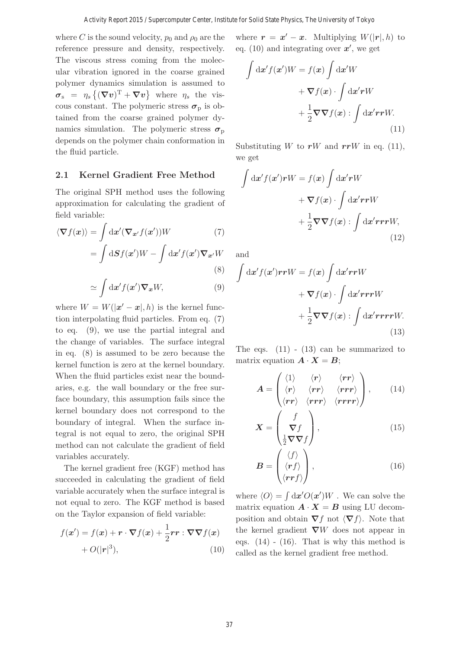where C is the sound velocity,  $p_0$  and  $\rho_0$  are the reference pressure and density, respectively. The viscous stress coming from the molecular vibration ignored in the coarse grained polymer dynamics simulation is assumed to  $\sigma_s = \eta_s \{ (\nabla v)^{\mathrm{T}} + \nabla v \}$  where  $\eta_s$  the viscous constant. The polymeric stress  $\sigma_p$  is obtained from the coarse grained polymer dynamics simulation. The polymeric stress  $\sigma_{\rm p}$ depends on the polymer chain conformation in the fluid particle.

#### **2.1 Kernel Gradient Free Method**

The original SPH method uses the following approximation for calculating the gradient of field variable:

$$
\langle \nabla f(\mathbf{x}) \rangle = \int \mathrm{d}\mathbf{x}' (\nabla_{\mathbf{x}'} f(\mathbf{x}')) W \qquad (7)
$$

$$
= \int \mathrm{d}\mathbf{S} f(\mathbf{x}') W - \int \mathrm{d}\mathbf{x}' f(\mathbf{x}') \nabla_{\mathbf{x}'} W \qquad (8)
$$

$$
\simeq \int \mathrm{d}\mathbf{x}' f(\mathbf{x}') \nabla_{\mathbf{x}} W,\tag{9}
$$

where  $W = W(|x'-x|, h)$  is the kernel func-<br>tion internalistic fluid positions. From an (7) tion interpolating fluid particles. From eq. (7) to eq. (9), we use the partial integral and the change of variables. The surface integral in eq. (8) is assumed to be zero because the kernel function is zero at the kernel boundary. When the fluid particles exist near the boundaries, e.g. the wall boundary or the free surface boundary, this assumption fails since the kernel boundary does not correspond to the boundary of integral. When the surface integral is not equal to zero, the original SPH method can not calculate the gradient of field variables accurately.

The kernel gradient free (KGF) method has succeeded in calculating the gradient of field variable accurately when the surface integral is not equal to zero. The KGF method is based on the Taylor expansion of field variable:

$$
f(\mathbf{x}') = f(\mathbf{x}) + \mathbf{r} \cdot \nabla f(\mathbf{x}) + \frac{1}{2} \mathbf{r} \mathbf{r} : \nabla \nabla f(\mathbf{x}) + O(|\mathbf{r}|^3),
$$
\n(10)

where  $\mathbf{r} = \mathbf{x}' - \mathbf{x}$ . Multiplying  $W(|\mathbf{r}|, h)$  to eq. (10) and integrating over  $x'$ , we get

$$
\int dx' f(x')W = f(x) \int dx'W
$$

$$
+ \nabla f(x) \cdot \int dx' rW
$$

$$
+ \frac{1}{2} \nabla \nabla f(x) : \int dx' r rW.
$$
(11)

Substituting W to  $rW$  and  $rrW$  in eq. (11), we get

$$
\int dx' f(x') rW = f(x) \int dx' rW
$$

$$
+ \nabla f(x) \cdot \int dx' r rW
$$

$$
+ \frac{1}{2} \nabla \nabla f(x) : \int dx' r rW,
$$
(12)

and

$$
\int d\mathbf{x}' f(\mathbf{x}') r r W = f(\mathbf{x}) \int d\mathbf{x}' r r W \n+ \nabla f(\mathbf{x}) \cdot \int d\mathbf{x}' r r r W \n+ \frac{1}{2} \nabla \nabla f(\mathbf{x}) : \int d\mathbf{x}' r r r r W.
$$
\n(13)

The eqs.  $(11)$  -  $(13)$  can be summarized to matrix equation  $\mathbf{A} \cdot \mathbf{X} = \mathbf{B}$ ;

$$
A = \begin{pmatrix} \langle 1 \rangle & \langle r \rangle & \langle rr \rangle \\ \langle r \rangle & \langle rr \rangle & \langle rrr \rangle \\ \langle rr \rangle & \langle rrr \rangle & \langle rrrr \rangle \end{pmatrix}, \qquad (14)
$$

$$
\mathbf{X} = \begin{pmatrix} f \\ \nabla f \\ \frac{1}{2} \nabla \nabla f \end{pmatrix},\tag{15}
$$

$$
\boldsymbol{B} = \begin{pmatrix} \langle f \rangle \\ \langle \boldsymbol{r} f \rangle \\ \langle \boldsymbol{r} \boldsymbol{r} f \rangle \end{pmatrix}, \tag{16}
$$

where  $\langle O \rangle = \int d\mathbf{x}' O(\mathbf{x}') W$ . We can solve the matrix equation  $\mathbf{A} \cdot \mathbf{X} = \mathbf{B}$  using LU decomposition and obtain  $\nabla f$  not  $\langle \nabla f \rangle$ . Note that the kernel gradient *∇*W does not appear in eqs.  $(14)$  -  $(16)$ . That is why this method is called as the kernel gradient free method.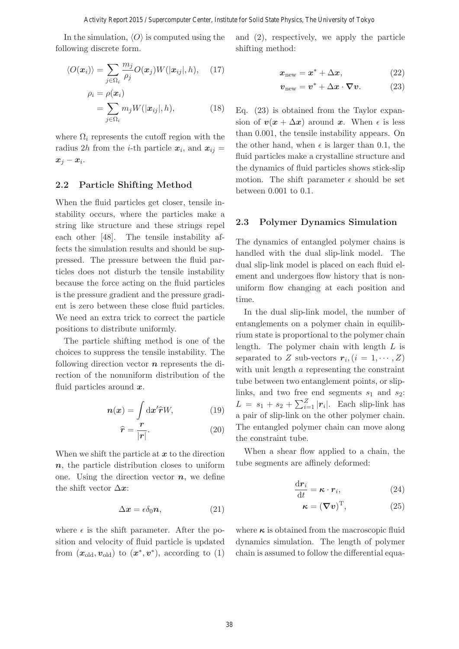In the simulation,  $\langle O \rangle$  is computed using the following discrete form.

$$
\langle O(\boldsymbol{x}_i) \rangle = \sum_{j \in \Omega_i} \frac{m_j}{\rho_j} O(\boldsymbol{x}_j) W(|\boldsymbol{x}_{ij}|, h), \quad (17)
$$

$$
\rho_i = \rho(\boldsymbol{x}_i)
$$

$$
= \sum_{j \in \Omega_i} m_j W(|\boldsymbol{x}_{ij}|, h), \quad (18)
$$

where  $\Omega_i$  represents the cutoff region with the radius 2h from the *i*-th particle  $x_i$ , and  $x_{ij}$  =  $\boldsymbol{x}_j - \boldsymbol{x}_i$ .

#### **2.2 Particle Shifting Method**

When the fluid particles get closer, tensile instability occurs, where the particles make a string like structure and these strings repel each other [48]. The tensile instability affects the simulation results and should be suppressed. The pressure between the fluid particles does not disturb the tensile instability because the force acting on the fluid particles is the pressure gradient and the pressure gradient is zero between these close fluid particles. We need an extra trick to correct the particle positions to distribute uniformly.

The particle shifting method is one of the choices to suppress the tensile instability. The following direction vector *n* represents the direction of the nonuniform distribution of the fluid particles around *x*.

$$
n(x) = \int \mathrm{d}x' \hat{r} W,\tag{19}
$$

$$
\widehat{\mathbf{r}} = \frac{\mathbf{r}}{|\mathbf{r}|}.\tag{20}
$$

When we shift the particle at *x* to the direction *n*, the particle distribution closes to uniform one. Using the direction vector  $n$ , we define the shift vector  $\Delta x$ :

$$
\Delta x = \epsilon \delta_0 n, \tag{21}
$$

where  $\epsilon$  is the shift parameter. After the position and velocity of fluid particle is updated from  $(x_{old}, v_{old})$  to  $(x^*, v^*)$ , according to (1) and (2), respectively, we apply the particle shifting method:

$$
x_{\text{new}} = x^* + \Delta x, \tag{22}
$$

$$
v_{\text{new}} = v^* + \Delta x \cdot \nabla v. \tag{23}
$$

Eq. (23) is obtained from the Taylor expansion of  $v(x + \Delta x)$  around *x*. When  $\epsilon$  is less<br>than 0.001, the tensile instability appears. On than 0.001, the tensile instability appears. On the other hand, when  $\epsilon$  is larger than 0.1, the fluid particles make a crystalline structure and the dynamics of fluid particles shows stick-slip motion. The shift parameter  $\epsilon$  should be set between 0.001 to 0.1.

#### **2.3 Polymer Dynamics Simulation**

The dynamics of entangled polymer chains is handled with the dual slip-link model. The dual slip-link model is placed on each fluid element and undergoes flow history that is nonuniform flow changing at each position and time.

In the dual slip-link model, the number of entanglements on a polymer chain in equilibrium state is proportional to the polymer chain length. The polymer chain with length L is separated to Z sub-vectors  $r_i$ ,  $(i = 1, \dots, Z)$ with unit length a representing the constraint tube between two entanglement points, or sliplinks, and two free end segments  $s_1$  and  $s_2$ :  $L = s_1 + s_2 + \sum_{i=1}^{Z} |\mathbf{r}_i|$ . Each slip-link has a pair of slip-link on the other polymer chain. The entangled polymer chain can move along the constraint tube.

When a shear flow applied to a chain, the tube segments are affinely deformed:

$$
\frac{\mathrm{d} \mathbf{r}_i}{\mathrm{d} t} = \boldsymbol{\kappa} \cdot \mathbf{r}_i,\tag{24}
$$

$$
\boldsymbol{\kappa} = (\boldsymbol{\nabla} \boldsymbol{v})^{\mathrm{T}}, \tag{25}
$$

where  $\kappa$  is obtained from the macroscopic fluid dynamics simulation. The length of polymer chain is assumed to follow the differential equa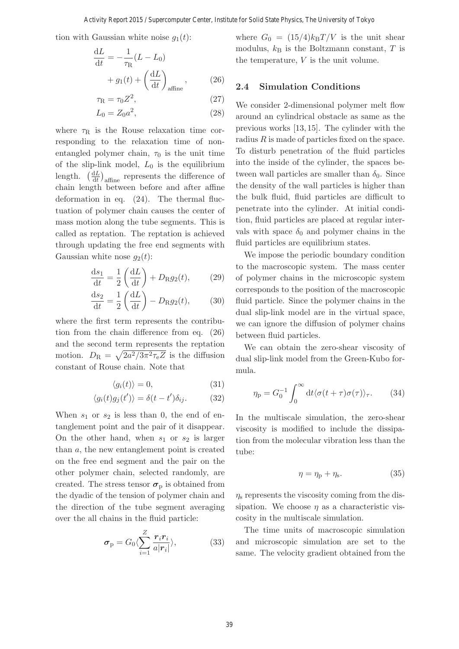tion with Gaussian white noise  $g_1(t)$ :

$$
\frac{dL}{dt} = -\frac{1}{\tau_{\rm R}}(L - L_0)
$$

$$
+ g_1(t) + \left(\frac{dL}{dt}\right)_{\text{affine}}, \qquad (26)
$$

$$
\tau_{\rm R} = \tau_0 Z^2, \qquad (27)
$$

$$
T_{\rm R} = \tau_0 Z \tag{27}
$$
  

$$
L_0 = Z_0 a^2, \tag{28}
$$

where  $\tau_R$  is the Rouse relaxation time corresponding to the relaxation time of nonentangled polymer chain,  $\tau_0$  is the unit time of the slip-link model,  $L_0$  is the equilibrium length.  $\left(\frac{dL}{dt}\right)_{\text{affine}}$  represents the difference of chain length between before and after affine deformation in eq. (24). The thermal fluctuation of polymer chain causes the center of mass motion along the tube segments. This is called as reptation. The reptation is achieved through updating the free end segments with Gaussian white nose  $g_2(t)$ :

$$
\frac{\mathrm{d}s_1}{\mathrm{d}t} = \frac{1}{2} \left( \frac{\mathrm{d}L}{\mathrm{d}t} \right) + D_{\mathrm{R}}g_2(t),\tag{29}
$$

$$
\frac{\mathrm{d}s_2}{\mathrm{d}t} = \frac{1}{2} \left( \frac{\mathrm{d}L}{\mathrm{d}t} \right) - D_{\mathrm{R}}g_2(t),\tag{30}
$$

where the first term represents the contribution from the chain difference from eq. (26) and the second term represents the reptation motion.  $D_{\rm R} = \sqrt{2a^2/3\pi^2\tau_{\rm e}Z}$  is the diffusion constant of Rouse chain. Note that

$$
\langle g_i(t) \rangle = 0,\tag{31}
$$

$$
\langle g_i(t)g_j(t')\rangle = \delta(t-t')\delta_{ij}.
$$
 (32)

When  $s_1$  or  $s_2$  is less than 0, the end of entanglement point and the pair of it disappear. On the other hand, when  $s_1$  or  $s_2$  is larger than a, the new entanglement point is created on the free end segment and the pair on the other polymer chain, selected randomly, are created. The stress tensor  $\sigma_p$  is obtained from the dyadic of the tension of polymer chain and the direction of the tube segment averaging over the all chains in the fluid particle:

$$
\boldsymbol{\sigma}_{\mathrm{p}} = G_0 \langle \sum_{i=1}^{Z} \frac{\boldsymbol{r}_i \boldsymbol{r}_i}{a |\boldsymbol{r}_i|} \rangle, \tag{33}
$$

where  $G_0 = (15/4)k_BT/V$  is the unit shear modulus,  $k_B$  is the Boltzmann constant, T is the temperature, V is the unit volume.

#### **2.4 Simulation Conditions**

We consider 2-dimensional polymer melt flow around an cylindrical obstacle as same as the previous works [13, 15]. The cylinder with the radius  $R$  is made of particles fixed on the space. To disturb penetration of the fluid particles into the inside of the cylinder, the spaces between wall particles are smaller than  $\delta_0$ . Since the density of the wall particles is higher than the bulk fluid, fluid particles are difficult to penetrate into the cylinder. At initial condition, fluid particles are placed at regular intervals with space  $\delta_0$  and polymer chains in the fluid particles are equilibrium states.

We impose the periodic boundary condition to the macroscopic system. The mass center of polymer chains in the microscopic system corresponds to the position of the macroscopic fluid particle. Since the polymer chains in the dual slip-link model are in the virtual space, we can ignore the diffusion of polymer chains between fluid particles.

We can obtain the zero-shear viscosity of dual slip-link model from the Green-Kubo formula.

$$
\eta_{\rm p} = G_0^{-1} \int_0^\infty dt \langle \sigma(t+\tau)\sigma(\tau) \rangle_\tau. \qquad (34)
$$

In the multiscale simulation, the zero-shear viscosity is modified to include the dissipation from the molecular vibration less than the tube:

$$
\eta = \eta_{\rm p} + \eta_{\rm s}.\tag{35}
$$

 $\eta_s$  represents the viscosity coming from the dissipation. We choose  $\eta$  as a characteristic viscosity in the multiscale simulation.

The time units of macroscopic simulation and microscopic simulation are set to the same. The velocity gradient obtained from the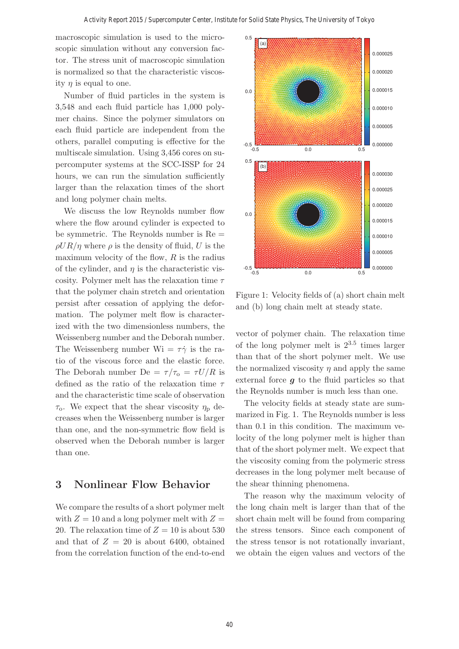macroscopic simulation is used to the microscopic simulation without any conversion factor. The stress unit of macroscopic simulation is normalized so that the characteristic viscosity  $\eta$  is equal to one.

Number of fluid particles in the system is 3,548 and each fluid particle has 1,000 polymer chains. Since the polymer simulators on each fluid particle are independent from the others, parallel computing is effective for the multiscale simulation. Using 3,456 cores on supercomputer systems at the SCC-ISSP for 24 hours, we can run the simulation sufficiently larger than the relaxation times of the short and long polymer chain melts.

We discuss the low Reynolds number flow where the flow around cylinder is expected to be symmetric. The Reynolds number is  $Re =$  $\rho U R / \eta$  where  $\rho$  is the density of fluid, U is the maximum velocity of the flow,  $R$  is the radius of the cylinder, and  $\eta$  is the characteristic viscosity. Polymer melt has the relaxation time  $\tau$ that the polymer chain stretch and orientation persist after cessation of applying the deformation. The polymer melt flow is characterized with the two dimensionless numbers, the Weissenberg number and the Deborah number. The Weissenberg number  $Wi = \tau \dot{\gamma}$  is the ratio of the viscous force and the elastic force. The Deborah number De =  $\tau/\tau_{0} = \tau U/R$  is defined as the ratio of the relaxation time  $\tau$ and the characteristic time scale of observation  $\tau_{o}$ . We expect that the shear viscosity  $\eta_{p}$  decreases when the Weissenberg number is larger than one, and the non-symmetric flow field is observed when the Deborah number is larger than one.

# **3 Nonlinear Flow Behavior**

We compare the results of a short polymer melt with  $Z = 10$  and a long polymer melt with  $Z =$ 20. The relaxation time of  $Z = 10$  is about 530 and that of  $Z = 20$  is about 6400, obtained from the correlation function of the end-to-end



Figure 1: Velocity fields of (a) short chain melt and (b) long chain melt at steady state.

vector of polymer chain. The relaxation time of the long polymer melt is  $2^{3.5}$  times larger than that of the short polymer melt. We use the normalized viscosity  $\eta$  and apply the same external force *g* to the fluid particles so that the Reynolds number is much less than one.

The velocity fields at steady state are summarized in Fig. 1. The Reynolds number is less than 0.1 in this condition. The maximum velocity of the long polymer melt is higher than that of the short polymer melt. We expect that the viscosity coming from the polymeric stress decreases in the long polymer melt because of the shear thinning phenomena.

The reason why the maximum velocity of the long chain melt is larger than that of the short chain melt will be found from comparing the stress tensors. Since each component of the stress tensor is not rotationally invariant, we obtain the eigen values and vectors of the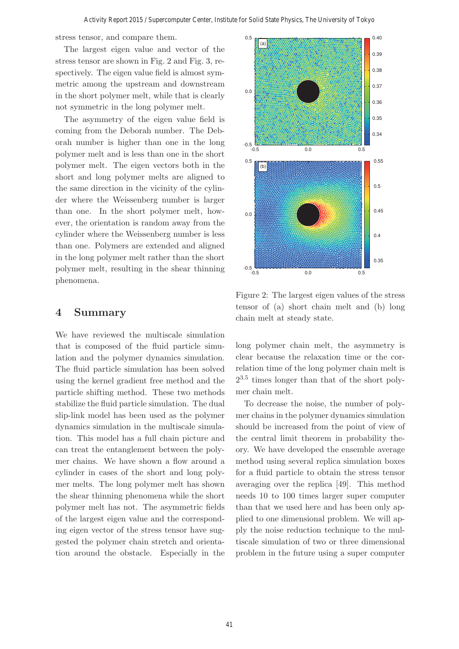stress tensor, and compare them.

The largest eigen value and vector of the stress tensor are shown in Fig. 2 and Fig. 3, respectively. The eigen value field is almost symmetric among the upstream and downstream in the short polymer melt, while that is clearly not symmetric in the long polymer melt.

The asymmetry of the eigen value field is coming from the Deborah number. The Deborah number is higher than one in the long polymer melt and is less than one in the short polymer melt. The eigen vectors both in the short and long polymer melts are aligned to the same direction in the vicinity of the cylinder where the Weissenberg number is larger than one. In the short polymer melt, however, the orientation is random away from the cylinder where the Weissenberg number is less than one. Polymers are extended and aligned in the long polymer melt rather than the short polymer melt, resulting in the shear thinning phenomena.

### **4 Summary**

We have reviewed the multiscale simulation that is composed of the fluid particle simulation and the polymer dynamics simulation. The fluid particle simulation has been solved using the kernel gradient free method and the particle shifting method. These two methods stabilize the fluid particle simulation. The dual slip-link model has been used as the polymer dynamics simulation in the multiscale simulation. This model has a full chain picture and can treat the entanglement between the polymer chains. We have shown a flow around a cylinder in cases of the short and long polymer melts. The long polymer melt has shown the shear thinning phenomena while the short polymer melt has not. The asymmetric fields of the largest eigen value and the corresponding eigen vector of the stress tensor have suggested the polymer chain stretch and orientation around the obstacle. Especially in the



Figure 2: The largest eigen values of the stress tensor of (a) short chain melt and (b) long chain melt at steady state.

long polymer chain melt, the asymmetry is clear because the relaxation time or the correlation time of the long polymer chain melt is 23.<sup>5</sup> times longer than that of the short polymer chain melt.

To decrease the noise, the number of polymer chains in the polymer dynamics simulation should be increased from the point of view of the central limit theorem in probability theory. We have developed the ensemble average method using several replica simulation boxes for a fluid particle to obtain the stress tensor averaging over the replica [49]. This method needs 10 to 100 times larger super computer than that we used here and has been only applied to one dimensional problem. We will apply the noise reduction technique to the multiscale simulation of two or three dimensional problem in the future using a super computer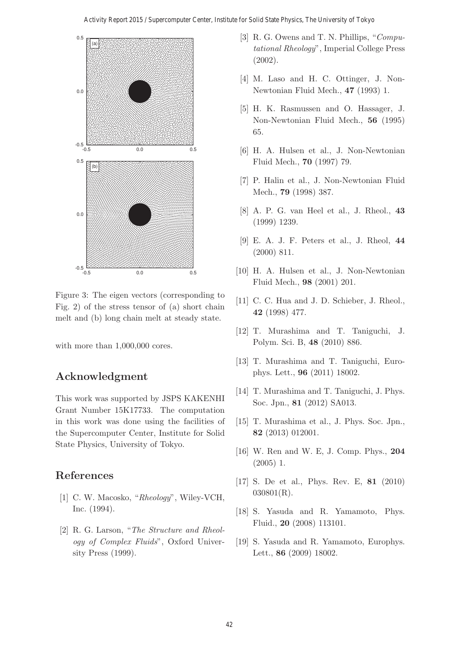

Figure 3: The eigen vectors (corresponding to Fig. 2) of the stress tensor of (a) short chain melt and (b) long chain melt at steady state.

with more than  $1,000,000$  cores.

# **Acknowledgment**

This work was supported by JSPS KAKENHI Grant Number 15K17733. The computation in this work was done using the facilities of the Supercomputer Center, Institute for Solid State Physics, University of Tokyo.

# **References**

- [1] C. W. Macosko, "Rheology", Wiley-VCH, Inc. (1994).
- [2] R. G. Larson, "The Structure and Rheology of Complex Fluids", Oxford University Press (1999).
- [3] R. G. Owens and T. N. Phillips, "Computational Rheology", Imperial College Press (2002).
- [4] M. Laso and H. C. Ottinger, J. Non-Newtonian Fluid Mech., **47** (1993) 1.
- [5] H. K. Rasmussen and O. Hassager, J. Non-Newtonian Fluid Mech., **56** (1995) 65.
- [6] H. A. Hulsen et al., J. Non-Newtonian Fluid Mech., **70** (1997) 79.
- [7] P. Halin et al., J. Non-Newtonian Fluid Mech., **79** (1998) 387.
- [8] A. P. G. van Heel et al., J. Rheol., **43** (1999) 1239.
- [9] E. A. J. F. Peters et al., J. Rheol, **44** (2000) 811.
- [10] H. A. Hulsen et al., J. Non-Newtonian Fluid Mech., **98** (2001) 201.
- [11] C. C. Hua and J. D. Schieber, J. Rheol., **42** (1998) 477.
- [12] T. Murashima and T. Taniguchi, J. Polym. Sci. B, **48** (2010) 886.
- [13] T. Murashima and T. Taniguchi, Europhys. Lett., **96** (2011) 18002.
- [14] T. Murashima and T. Taniguchi, J. Phys. Soc. Jpn., **81** (2012) SA013.
- [15] T. Murashima et al., J. Phys. Soc. Jpn., **82** (2013) 012001.
- [16] W. Ren and W. E, J. Comp. Phys., **204** (2005) 1.
- [17] S. De et al., Phys. Rev. E, **81** (2010) 030801(R).
- [18] S. Yasuda and R. Yamamoto, Phys. Fluid., **20** (2008) 113101.
- [19] S. Yasuda and R. Yamamoto, Europhys. Lett., **86** (2009) 18002.